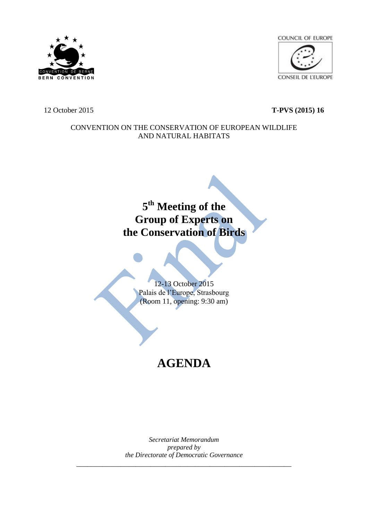

COUNCIL OF EUROPE **CONSEIL DE L'EUROPE** 

12 October 2015 **T-PVS (2015) 16**

# CONVENTION ON THE CONSERVATION OF EUROPEAN WILDLIFE AND NATURAL HABITATS

**5 th Meeting of the Group of Experts on the Conservation of Birds**

12-13 October 2015 Palais de l'Europe, Strasbourg (Room 11, opening: 9:30 am)

# **AGENDA**

*Secretariat Memorandum prepared by the Directorate of Democratic Governance*

\_\_\_\_\_\_\_\_\_\_\_\_\_\_\_\_\_\_\_\_\_\_\_\_\_\_\_\_\_\_\_\_\_\_\_\_\_\_\_\_\_\_\_\_\_\_\_\_\_\_\_\_\_\_\_\_\_\_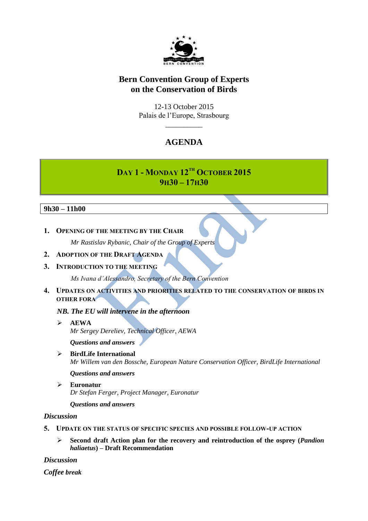

# **Bern Convention Group of Experts on the Conservation of Birds**

12-13 October 2015 Palais de l'Europe, Strasbourg

 $\overline{\phantom{a}}$  , where  $\overline{\phantom{a}}$ 

# **AGENDA**

# **DAY 1 - MONDAY 12TH OCTOBER 2015 9H30 – 17H30**

### **9h30 – 11h00**

### **1. OPENING OF THE MEETING BY THE CHAIR**

*Mr Rastislav Rybanic, Chair of the Group of Experts*

**2. ADOPTION OF THE DRAFT AGENDA**

# **3. INTRODUCTION TO THE MEETING**

*Ms Ivana d'Alessandro, Secretary of the Bern Convention*

**4. UPDATES ON ACTIVITIES AND PRIORITIES RELATED TO THE CONSERVATION OF BIRDS IN OTHER FORA**

# *NB. The EU will intervene in the afternoon*

- **AEWA** *Mr Sergey Dereliev, Technical Officer, AEWA Questions and answers*
- **BirdLife International** *Mr Willem van den Bossche, European Nature Conservation Officer, BirdLife International*

### *Questions and answers*

- **Euronatur** *Dr Stefan Ferger, Project Manager, Euronatur*
	- *Questions and answers*

# *Discussion*

- **5. UPDATE ON THE STATUS OF SPECIFIC SPECIES AND POSSIBLE FOLLOW-UP ACTION**
	- **Second draft Action plan for the recovery and reintroduction of the osprey (***Pandion haliaetus***) – Draft Recommendation**

*Discussion*

*Coffee break*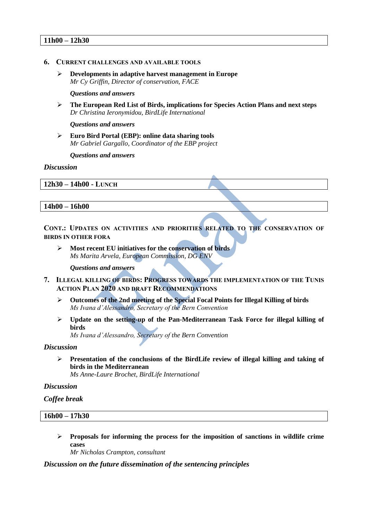#### **11h00 – 12h30**

#### **6. CURRENT CHALLENGES AND AVAILABLE TOOLS**

 **Developments in adaptive harvest management in Europe**  *Mr Cy Griffin, Director of conservation, FACE*

*Questions and answers*

 **The European Red List of Birds, implications for Species Action Plans and next steps** *Dr Christina Ieronymidou, BirdLife International*

*Questions and answers*

 **Euro Bird Portal (EBP): online data sharing tools** *Mr Gabriel Gargallo, Coordinator of the EBP project*

*Questions and answers*

#### *Discussion*

**12h30 – 14h00 - LUNCH**

#### **14h00 – 16h00**

CONT.: UPDATES ON ACTIVITIES AND PRIORITIES RELATED TO THE CONSERVATION OF **BIRDS IN OTHER FORA**

 **Most recent EU initiatives for the conservation of birds**  *Ms Marita Arvela, European Commission, DG ENV*

*Questions and answers*

- **7. ILLEGAL KILLING OF BIRDS: PROGRESS TOWARDS THE IMPLEMENTATION OF THE TUNIS ACTION PLAN 2020 AND DRAFT RECOMMENDATIONS**
	- **Outcomes of the 2nd meeting of the Special Focal Points for Illegal Killing of birds** *Ms Ivana d'Alessandro, Secretary of the Bern Convention*
	- **Update on the setting-up of the Pan-Mediterranean Task Force for illegal killing of birds**

*Ms Ivana d'Alessandro, Secretary of the Bern Convention*

#### *Discussion*

 **Presentation of the conclusions of the BirdLife review of illegal killing and taking of birds in the Mediterranean**

*Ms Anne-Laure Brochet, BirdLife International*

#### *Discussion*

#### *Coffee break*

#### **16h00 – 17h30**

 **Proposals for informing the process for the imposition of sanctions in wildlife crime cases** 

*Mr Nicholas Crampton, consultant*

*Discussion on the future dissemination of the sentencing principles*